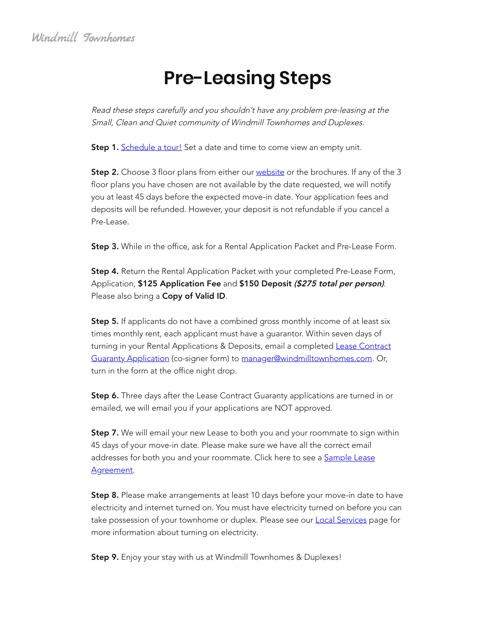# **Pre-Leasing Steps**

Read these steps carefully and you shouldn't have any problem pre-leasing at the Small, Clean and Quiet community of Windmill Townhomes and Duplexes.

Step 1. Schedule a tour! Set a date and time to come view an empty unit.

**Step 2.** Choose 3 floor plans from either our *website* or the brochures. If any of the 3 floor plans you have chosen are not available by the date requested, we will notify you at least 45 days before the expected move-in date. Your application fees and deposits will be refunded. However, your deposit is not refundable if you cancel a Pre-Lease.

Step 3. While in the office, ask for a Rental Application Packet and Pre-Lease Form.

Step 4. Return the Rental Application Packet with your completed Pre-Lease Form, Application, \$125 Application Fee and \$150 Deposit (\$275 total per person). Please also bring a Copy of Valid ID.

**Step 5.** If applicants do not have a combined gross monthly income of at least six times monthly rent, each applicant must have a guarantor. Within seven days of turning in your Rental Applications & Deposits, email a completed Lease Contract Guaranty Application (co-signer form) to manager@windmilltownhomes.com. Or, turn in the form at the office night drop.

Step 6. Three days after the Lease Contract Guaranty applications are turned in or emailed, we will email you if your applications are NOT approved.

**Step 7.** We will email your new Lease to both you and your roommate to sign within 45 days of your move-in date. Please make sure we have all the correct email addresses for both you and your roommate. Click here to see a Sample Lease Agreement.

**Step 8.** Please make arrangements at least 10 days before your move-in date to have electricity and internet turned on. You must have electricity turned on before you can take possession of your townhome or duplex. Please see our **Local Services** page for more information about turning on electricity.

Step 9. Enjoy your stay with us at Windmill Townhomes & Duplexes!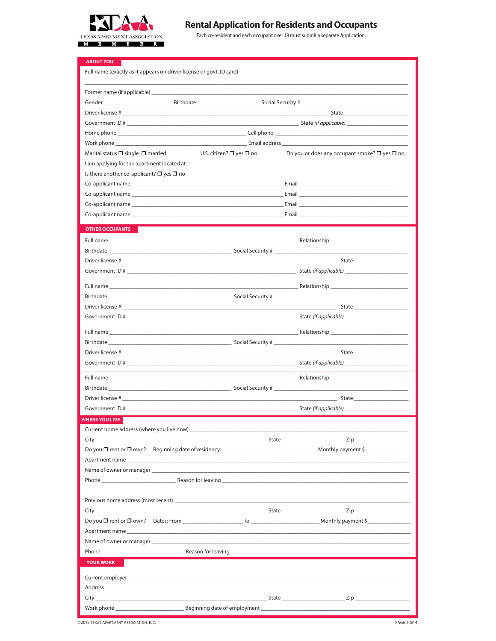

## **Rental Application for Residents and Occupants**

Each co-resident and each occupant over 18 must submit a separate Application.

| <b>ABOUT YOU</b><br>Full name (exactly as it appears on driver license or govt. ID card)                                                                                                                                       |
|--------------------------------------------------------------------------------------------------------------------------------------------------------------------------------------------------------------------------------|
|                                                                                                                                                                                                                                |
| Gender ______________________________Birthdate __________________________________ Social Security #                                                                                                                            |
|                                                                                                                                                                                                                                |
|                                                                                                                                                                                                                                |
| Home phone that the contract of the contract of the Cell phone contract of the contract of the contract of the contract of the contract of the contract of the contract of the contract of the contract of the contract of the |
|                                                                                                                                                                                                                                |
| Marital status $\Box$ single $\Box$ married<br>Do you or does any occupant smoke? $\Box$ yes $\Box$ no<br>U.S. citizen? □ yes □ no                                                                                             |
|                                                                                                                                                                                                                                |
| Is there another co-applicant? $\square$ yes $\square$ no                                                                                                                                                                      |
|                                                                                                                                                                                                                                |
|                                                                                                                                                                                                                                |
|                                                                                                                                                                                                                                |
|                                                                                                                                                                                                                                |
| <b>OTHER OCCUPANTS</b>                                                                                                                                                                                                         |
|                                                                                                                                                                                                                                |
|                                                                                                                                                                                                                                |
| $S$ tate                                                                                                                                                                                                                       |
|                                                                                                                                                                                                                                |
|                                                                                                                                                                                                                                |
|                                                                                                                                                                                                                                |
|                                                                                                                                                                                                                                |
|                                                                                                                                                                                                                                |
|                                                                                                                                                                                                                                |
|                                                                                                                                                                                                                                |
| State                                                                                                                                                                                                                          |
|                                                                                                                                                                                                                                |
| <u>Relationship</u> <b>Example 2014</b> Relationship                                                                                                                                                                           |
|                                                                                                                                                                                                                                |
|                                                                                                                                                                                                                                |
|                                                                                                                                                                                                                                |
| <b>WHERE YOU LIVE</b>                                                                                                                                                                                                          |
| Current home address (where you live now) Current and the state of the state of the control of the Current state of the state of the state of the state of the state of the state of the state of the state of the state of th |
| City Zip                                                                                                                                                                                                                       |
|                                                                                                                                                                                                                                |
|                                                                                                                                                                                                                                |
|                                                                                                                                                                                                                                |
|                                                                                                                                                                                                                                |
|                                                                                                                                                                                                                                |
|                                                                                                                                                                                                                                |
|                                                                                                                                                                                                                                |
| Apartment name                                                                                                                                                                                                                 |
|                                                                                                                                                                                                                                |
|                                                                                                                                                                                                                                |
| <b>YOUR WORK</b>                                                                                                                                                                                                               |
|                                                                                                                                                                                                                                |
|                                                                                                                                                                                                                                |
|                                                                                                                                                                                                                                |
|                                                                                                                                                                                                                                |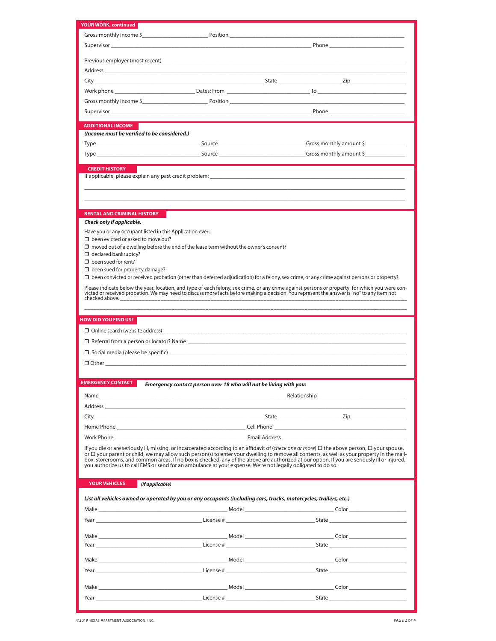| YOUR WORK, continued                                      |                                                                                                                                                                                                                                                                                                             |  |
|-----------------------------------------------------------|-------------------------------------------------------------------------------------------------------------------------------------------------------------------------------------------------------------------------------------------------------------------------------------------------------------|--|
|                                                           |                                                                                                                                                                                                                                                                                                             |  |
|                                                           | Supervisor <b>Example 2018</b> Phone <b>Phone Phone Phone Phone Phone Phone</b>                                                                                                                                                                                                                             |  |
|                                                           |                                                                                                                                                                                                                                                                                                             |  |
|                                                           |                                                                                                                                                                                                                                                                                                             |  |
|                                                           |                                                                                                                                                                                                                                                                                                             |  |
|                                                           |                                                                                                                                                                                                                                                                                                             |  |
|                                                           | Work phone <b>contract the contract of the Contract of Contract of Contract of Contract of Contract of Contract of Contract of Contract of Contract of Contract of Contract of Contract of Contract of Contract of Contract of C</b>                                                                        |  |
|                                                           |                                                                                                                                                                                                                                                                                                             |  |
|                                                           | Supervisor <b>Example 2018</b> Phone <b>Phone Phone Phone Phone Phone Phone Phone</b>                                                                                                                                                                                                                       |  |
| <b>ADDITIONAL INCOME</b>                                  |                                                                                                                                                                                                                                                                                                             |  |
| (Income must be verified to be considered.)               |                                                                                                                                                                                                                                                                                                             |  |
|                                                           |                                                                                                                                                                                                                                                                                                             |  |
|                                                           |                                                                                                                                                                                                                                                                                                             |  |
|                                                           |                                                                                                                                                                                                                                                                                                             |  |
| <b>CREDIT HISTORY</b>                                     |                                                                                                                                                                                                                                                                                                             |  |
|                                                           |                                                                                                                                                                                                                                                                                                             |  |
|                                                           |                                                                                                                                                                                                                                                                                                             |  |
|                                                           |                                                                                                                                                                                                                                                                                                             |  |
| <b>RENTAL AND CRIMINAL HISTORY</b>                        |                                                                                                                                                                                                                                                                                                             |  |
| Check only if applicable.                                 |                                                                                                                                                                                                                                                                                                             |  |
| Have you or any occupant listed in this Application ever: |                                                                                                                                                                                                                                                                                                             |  |
| $\Box$ been evicted or asked to move out?                 |                                                                                                                                                                                                                                                                                                             |  |
| $\Box$ declared bankruptcy?                               | $\Box$ moved out of a dwelling before the end of the lease term without the owner's consent?                                                                                                                                                                                                                |  |
| $\Box$ been sued for rent?                                |                                                                                                                                                                                                                                                                                                             |  |
| $\Box$ been sued for property damage?                     |                                                                                                                                                                                                                                                                                                             |  |
|                                                           | $\Box$ been convicted or received probation (other than deferred adjudication) for a felony, sex crime, or any crime against persons or property?                                                                                                                                                           |  |
|                                                           | Please indicate below the year, location, and type of each felony, sex crime, or any crime against persons or property for which you were con-<br>victed or received probation. We may need to discuss more facts before making a                                                                           |  |
| checked above. ____________________                       |                                                                                                                                                                                                                                                                                                             |  |
|                                                           |                                                                                                                                                                                                                                                                                                             |  |
|                                                           |                                                                                                                                                                                                                                                                                                             |  |
| <b>HOW DID YOU FIND US?</b>                               |                                                                                                                                                                                                                                                                                                             |  |
|                                                           |                                                                                                                                                                                                                                                                                                             |  |
|                                                           |                                                                                                                                                                                                                                                                                                             |  |
|                                                           | $\Box$ Referral from a person or locator? Name                                                                                                                                                                                                                                                              |  |
|                                                           |                                                                                                                                                                                                                                                                                                             |  |
|                                                           |                                                                                                                                                                                                                                                                                                             |  |
|                                                           |                                                                                                                                                                                                                                                                                                             |  |
| EMERGENCY CONTACT                                         | Emergency contact person over 18 who will not be living with you:                                                                                                                                                                                                                                           |  |
|                                                           |                                                                                                                                                                                                                                                                                                             |  |
|                                                           | Address and the contract of the contract of the contract of the contract of the contract of the contract of the contract of the contract of the contract of the contract of the contract of the contract of the contract of th                                                                              |  |
|                                                           |                                                                                                                                                                                                                                                                                                             |  |
|                                                           |                                                                                                                                                                                                                                                                                                             |  |
|                                                           |                                                                                                                                                                                                                                                                                                             |  |
|                                                           | Work Phone Communication and Communication and Communication and Communication and Communication and Communication and Communication and Communication and Communication and Communication and Communication and Communication                                                                              |  |
|                                                           | If you die or are seriously ill, missing, or incarcerated according to an affidavit of (check one or more) $\Box$ the above person, $\Box$ your spouse,<br>or $\Box$ your parent or child, we may allow such person(s) to enter your dwelling to remove all contents, as well as your property in the mail- |  |
|                                                           | box, storerooms, and common areas. If no box is checked, any of the above are authorized at our option. If you are seriously ill or injured,                                                                                                                                                                |  |
|                                                           | you authorize us to call EMS or send for an ambulance at your expense. We're not legally obligated to do so.                                                                                                                                                                                                |  |
| <b>YOUR VEHICLES</b><br>(If applicable)                   |                                                                                                                                                                                                                                                                                                             |  |
|                                                           |                                                                                                                                                                                                                                                                                                             |  |
|                                                           | List all vehicles owned or operated by you or any occupants (including cars, trucks, motorcycles, trailers, etc.)                                                                                                                                                                                           |  |
|                                                           |                                                                                                                                                                                                                                                                                                             |  |
|                                                           | Year State State State State State State State State State State State State State State State State State State State State State State State State State State State State State State State State State State State State S                                                                              |  |
|                                                           |                                                                                                                                                                                                                                                                                                             |  |
|                                                           | Make <b>Solution Collection Collection Collection</b> and Model <b>Collection Collection Collection Collection</b> Collection and Model <b>Collection Collection Collection</b> Collection and Model <b>Collection Collection Collection</b> Colle                                                          |  |
|                                                           |                                                                                                                                                                                                                                                                                                             |  |
|                                                           |                                                                                                                                                                                                                                                                                                             |  |
|                                                           |                                                                                                                                                                                                                                                                                                             |  |
|                                                           |                                                                                                                                                                                                                                                                                                             |  |
|                                                           |                                                                                                                                                                                                                                                                                                             |  |
|                                                           | Year example and the state of the state of the state of the state of the state of the state of the state of the state of the state of the state of the state of the state of the state of the state of the state of the state                                                                               |  |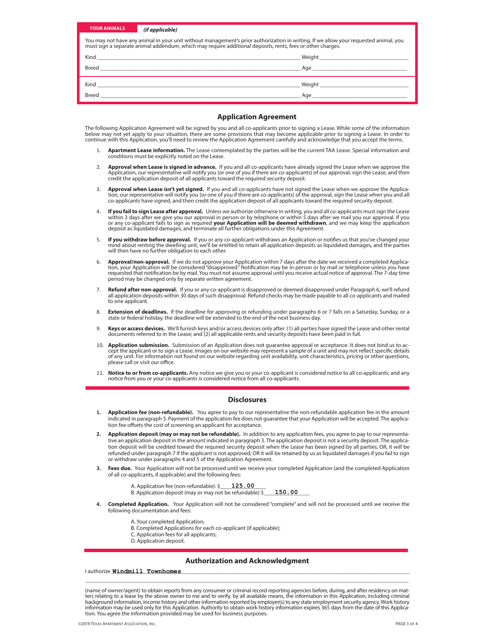| <b>YOUR ANIMALS</b>                                                                                                                                                                                                                                | (if applicable)                                                                                                                                                                                                                |
|----------------------------------------------------------------------------------------------------------------------------------------------------------------------------------------------------------------------------------------------------|--------------------------------------------------------------------------------------------------------------------------------------------------------------------------------------------------------------------------------|
| You may not have any animal in your unit without management's prior authorization in writing. If we allow your requested animal, you<br>must sign a separate animal addendum, which may require additional deposits, rents, fees or other charges. |                                                                                                                                                                                                                                |
|                                                                                                                                                                                                                                                    |                                                                                                                                                                                                                                |
| Breed                                                                                                                                                                                                                                              | Age and the state of the state of the state of the state of the state of the state of the state of the state of the state of the state of the state of the state of the state of the state of the state of the state of the st |
|                                                                                                                                                                                                                                                    |                                                                                                                                                                                                                                |
| <b>Breed</b>                                                                                                                                                                                                                                       | Age and the state of the state of the state of the state of the state of the state of the state of the state of the state of the state of the state of the state of the state of the state of the state of the state of the st |

#### **Application Agreement**

The following Application Agreement will be signed by you and all co-applicants prior to signing a Lease. While some of the information<br>below may not yet apply to your situation, there are some provisions that may become a

- 1. **Apartment Lease information.** The Lease contemplated by the parties will be the current TAA Lease. Special information and conditions must be explicitly noted on the Lease.
- 2. **Approval when Lease is signed in advance.** If you and all co-applicants have already signed the Lease when we approve the Application, our representative will notify you (or one of you if there are co-applicants) of our approval, sign the Lease, and then credit the application deposit of all applicants toward the required security deposit.
- **Approval when Lease isn't yet signed.** If you and all co-applicants have not signed the Lease when we approve the Applica-<br>tion, our representative will notify you (or one of you if there are co-applicants) of the approva
- 4. **If you fail to sign Lease after approval.** Unless we authorize otherwise in writing, you and all co-applicants must sign the Lease within 3 days after we give you our approval in person or by telephone or within 5 days
- 5. **If you withdraw before approval.** If you or any co-applicant withdraws an Application or notifies us that you've changed your<br>mind about renting the dwelling unit, we'll be entitled to retain all application deposits a will then have no further obligation to each other.
- -6. **Approval/non-approval.** If we do not approve your Application within 7 days after the date we received a completed Applica-<br>tion, your Application will be considered "disapproved." Notification may be in person or by requested that notification be by mail. You must not assume approval until you receive actual notice of approval. The 7-day time period may be changed only by separate written agreement.
- 7. **Refund after non-approval.** If you or any co-applicant is disapproved or deemed disapproved under Paragraph 6, we'll refund<br>all application deposits within 30 days of such disapproval. Refund checks may be made payable
- 8. **Extension of deadlines.** If the deadline for approving or refunding under paragraphs 6 or 7 falls on a Saturday, Sunday, or a state or federal holiday, the deadline will be extended to the end of the next business day.
- 9. Keys or access devices. We'll furnish keys and/or access devices only after: (1) all parties have signed the Lease and other rental<br>documents referred to in the Lease; and (2) all applicable rents and security deposits
- 10. **Application submission.** Submission of an Application does not guarantee approval or acceptance. It does not bind us to accept the applicant or to sign a Lease. Images on our website may represent a sample of a unit a of any unit. For information not found on our website regarding unit availability, unit characteristics, pricing or other questions, please call or visit our office.
- 11. **Notice to or from co-applicants.** Any notice we give you or your co-applicant is considered notice to all co-applicants; and any notice from you or your co-applicants is considered notice from all co-applicants.

#### **Disclosures**

- **1. Application fee (non-refundable).** You agree to pay to our representative the non-refundable application fee in the amount indicated in paragraph 3. Payment of the application fee does not guarantee that your Application will be accepted. The application fee offsets the cost of screening an applicant for acceptance.
- **2. Application deposit (may or may not be refundable).** In addition to any application fees, you agree to pay to our representative an application deposit in the amount indicated in paragraph 3. The application deposit is not a security deposit. The application deposit will be credited toward the required security deposit when the Lease has been signed by all parties; OR, it will be refunded under paragraph 7 if the applicant is not approved; OR it will be retained by us as liquidated damages if you fail to sign or withdraw under paragraphs 4 and 5 of the Application Agreement.
- **3. Fees due.** Your Application will not be processed until we receive your completed Application (and the completed Application of all co-applicants, if applicable) and the following fees:
	- A. Application fee (non-refundable): \$ 125.00
	- B. Application deposit (may or may not be refundable) \$\_ 150.00
- **4. Completed Application.** Your Application will not be considered "complete" and will not be processed until we receive the following documentation and fees:
	- A. Your completed Application;
	- B. Completed Applications for each co-applicant (if applicable);
	- C. Application fees for all applicants;
	- D. Application deposit.

#### **Authorization and Acknowledgment**

\_\_\_\_\_\_\_\_\_\_\_\_\_\_\_\_\_\_\_\_\_\_\_\_\_\_\_\_\_\_\_\_\_\_\_\_\_\_\_\_\_\_\_\_\_\_\_\_\_\_\_\_\_\_\_\_\_\_\_\_\_\_\_\_\_\_\_\_\_\_\_\_\_\_\_\_\_\_\_\_\_\_\_\_\_\_\_\_\_\_\_\_\_\_\_\_\_\_\_\_\_\_\_\_\_\_\_\_\_\_\_\_\_

I authorize \_\_\_\_\_\_\_\_\_\_\_\_\_\_\_\_\_\_\_\_\_\_\_\_\_\_\_\_\_\_\_\_\_\_\_\_\_\_\_\_\_\_\_\_\_\_\_\_\_\_\_\_\_\_\_\_\_\_\_\_\_\_\_\_\_\_\_\_\_\_\_\_\_\_\_\_\_\_\_\_\_\_\_\_\_\_\_\_\_\_\_\_\_\_\_\_\_\_\_\_\_\_\_\_ Windmill Townhomes

(name of owner/agent) to obtain reports from any consumer or criminal record reporting agencies before, during, and after residency on matters relating to a lease by the above owner to me and to verify, by all available means, the information in this Application, including criminal<br>background information, income history and other information reported by empl tion. You agree the information provided may be used for business purposes.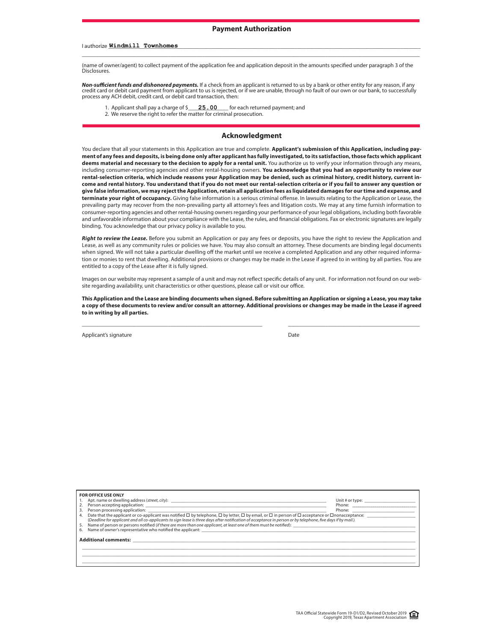\_\_\_\_\_\_\_\_\_\_\_\_\_\_\_\_\_\_\_\_\_\_\_\_\_\_\_\_\_\_\_\_\_\_\_\_\_\_\_\_\_\_\_\_\_\_\_\_\_\_\_\_\_\_\_\_\_\_\_\_\_\_\_\_\_\_\_\_\_\_\_\_\_\_\_\_\_\_\_\_\_\_\_\_\_\_\_\_\_\_\_\_\_\_\_\_\_\_\_\_\_\_\_\_\_\_\_\_\_\_\_\_\_\_\_\_\_\_

#### I authorize \_\_\_\_\_\_\_\_\_\_\_\_\_\_\_\_\_\_\_\_\_\_\_\_\_\_\_\_\_\_\_\_\_\_\_\_\_\_\_\_\_\_\_\_\_\_\_\_\_\_\_\_\_\_\_\_\_\_\_\_\_\_\_\_\_\_\_\_\_\_\_\_\_\_\_\_\_\_\_\_\_\_\_\_\_\_\_\_\_\_\_\_\_\_\_\_\_\_\_\_\_\_\_\_\_\_\_\_\_ Windmill Townhomes

(name of owner/agent) to collect payment of the application fee and application deposit in the amounts specified under paragraph 3 of the Disclosures.

*Non-su***"***cient funds and dishonored payments.* If a check from an applicant is returned to us by a bank or other entity for any reason, if any credit card or debit card payment from applicant to us is rejected, or if we are unable, through no fault of our own or our bank, to successfully<br>process any ACH debit, credit card, or debit card transaction, then:

- 1. Applicant shall pay a charge of  $\frac{25.00}{\sqrt{25}}$  for each returned payment; and 25.00
- 2. We reserve the right to refer the matter for criminal prosecution.

#### **Acknowledgment**

You declare that all your statements in this Application are true and complete. Applicant's submission of this Application, including pay**ment of any fees and deposits, is being done only after applicant has fully investigated, to its satisfaction, those facts which applicant deems material and necessary to the decision to apply for a rental unit.** You authorize us to verify your information through any means, including consumer-reporting agencies and other rental-housing owners. **You acknowledge that you had an opportunity to review our rental-selection criteria, which include reasons your Application may be denied, such as criminal history, credit history, current income and rental history. You understand that if you do not meet our rental-selection criteria or if you fail to answer any question or give false information, we may reject the Application, retain all application fees as liquidated damages for our time and expense, and**  terminate your right of occupancy. Giving false information is a serious criminal offense. In lawsuits relating to the Application or Lease, the prevailing party may recover from the non-prevailing party all attorney's fees and litigation costs. We may at any time furnish information to consumer-reporting agencies and other rental-housing owners regarding your performance of your legal obligations, including both favorable and unfavorable information about your compliance with the Lease, the rules, and financial obligations. Fax or electronic signatures are legally binding. You acknowledge that our privacy policy is available to you.

*Right to review the Lease.* Before you submit an Application or pay any fees or deposits, you have the right to review the Application and Lease, as well as any community rules or policies we have. You may also consult an attorney. These documents are binding legal documents when signed. We will not take a particular dwelling off the market until we receive a completed Application and any other required information or monies to rent that dwelling. Additional provisions or changes may be made in the Lease if agreed to in writing by all parties. You are entitled to a copy of the Lease after it is fully signed.

Images on our website may represent a sample of a unit and may not reflect specific details of any unit. For information not found on our website regarding availability, unit characteristics or other questions, please call or visit our office.

**This Application and the Lease are binding documents when signed. Before submitting an Application or signing a Lease, you may take a copy of these documents to review and/or consult an attorney. Additional provisions or changes may be made in the Lease if agreed to in writing by all parties.**

\_\_\_\_\_\_\_\_\_\_\_\_\_\_\_\_\_\_\_\_\_\_\_\_\_\_\_\_\_\_\_\_\_\_\_\_\_\_\_\_\_\_\_\_\_\_\_\_\_\_\_\_\_\_\_\_\_\_\_\_\_\_\_ \_\_\_\_\_\_\_\_\_\_\_\_\_\_\_\_\_\_\_\_\_\_\_\_\_\_\_\_\_\_\_\_\_\_\_\_\_\_\_\_\_\_\_\_\_\_

Applicant's signature **Date APPLICATION FEE AND PAYMENT ETHODIC** PAYMENT ETHODICATION FEE AND PATE

| <b>FOR OFFICE USE ONLY</b>                                                                                                                                                                                                                                                                                                                                                                                                                                                   |                                                                                                                                                                                                                                |
|------------------------------------------------------------------------------------------------------------------------------------------------------------------------------------------------------------------------------------------------------------------------------------------------------------------------------------------------------------------------------------------------------------------------------------------------------------------------------|--------------------------------------------------------------------------------------------------------------------------------------------------------------------------------------------------------------------------------|
|                                                                                                                                                                                                                                                                                                                                                                                                                                                                              | Unit # or type: _________________________                                                                                                                                                                                      |
|                                                                                                                                                                                                                                                                                                                                                                                                                                                                              |                                                                                                                                                                                                                                |
| 3.                                                                                                                                                                                                                                                                                                                                                                                                                                                                           | Phone: the contract of the contract of the contract of the contract of the contract of the contract of the contract of the contract of the contract of the contract of the contract of the contract of the contract of the con |
| Date that the applicant or co-applicant was notified $\Box$ by telephone, $\Box$ by letter, $\Box$ by email, or $\Box$ in person of $\Box$ acceptance or $\Box$ nonacceptance:<br>4.<br>(Deadline for applicant and all co-applicants to sign lease is three days after notification of acceptance in person or by telephone, five days if by mail.)<br>5. Name of person or persons notified (if there are more than one applicant, at least one of them must be notified): |                                                                                                                                                                                                                                |
| Additional comments: Andrew March 2014                                                                                                                                                                                                                                                                                                                                                                                                                                       |                                                                                                                                                                                                                                |
|                                                                                                                                                                                                                                                                                                                                                                                                                                                                              |                                                                                                                                                                                                                                |
|                                                                                                                                                                                                                                                                                                                                                                                                                                                                              |                                                                                                                                                                                                                                |
|                                                                                                                                                                                                                                                                                                                                                                                                                                                                              |                                                                                                                                                                                                                                |
|                                                                                                                                                                                                                                                                                                                                                                                                                                                                              |                                                                                                                                                                                                                                |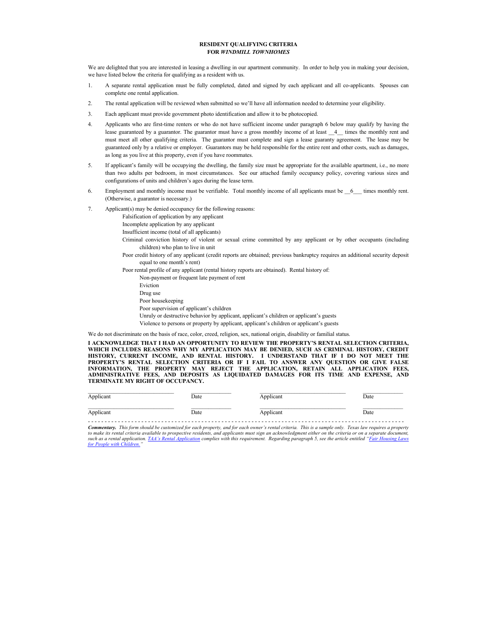#### **RESIDENT QUALIFYING CRITERIA FOR** *WINDMILL TOWNHOMES*

We are delighted that you are interested in leasing a dwelling in our apartment community. In order to help you in making your decision, we have listed below the criteria for qualifying as a resident with us.

- 1. A separate rental application must be fully completed, dated and signed by each applicant and all co-applicants. Spouses can complete one rental application.
- 2. The rental application will be reviewed when submitted so we'll have all information needed to determine your eligibility.
- 3. Each applicant must provide government photo identification and allow it to be photocopied.
- 4. Applicants who are first-time renters or who do not have sufficient income under paragraph 6 below may qualify by having the lease guaranteed by a guarantor. The guarantor must have a gross monthly income of at least  $\_4$  times the monthly rent and must meet all other qualifying criteria. The guarantor must complete and sign a lease guaranty agreement. The lease may be guaranteed only by a relative or employer. Guarantors may be held responsible for the entire rent and other costs, such as damages, as long as you live at this property, even if you have roommates.
- 5. If applicant's family will be occupying the dwelling, the family size must be appropriate for the available apartment, i.e., no more than two adults per bedroom, in most circumstances. See our attached family occupancy policy, covering various sizes and configurations of units and children's ages during the lease term.
- 6. Employment and monthly income must be verifiable. Total monthly income of all applicants must be \_\_6\_\_\_ times monthly rent. (Otherwise, a guarantor is necessary.)
- 7. Applicant(s) may be denied occupancy for the following reasons:
	- Falsification of application by any applicant
		- Incomplete application by any applicant
		- Insufficient income (total of all applicants)
		- Criminal conviction history of violent or sexual crime committed by any applicant or by other occupants (including children) who plan to live in unit
		- Poor credit history of any applicant (credit reports are obtained; previous bankruptcy requires an additional security deposit equal to one month's rent)

Poor rental profile of any applicant (rental history reports are obtained). Rental history of:

- Non-payment or frequent late payment of rent
	- Eviction Drug use Poor housekeeping
- Poor supervision of applicant's children
- Unruly or destructive behavior by applicant, applicant's children or applicant's guests
- Violence to persons or property by applicant, applicant's children or applicant's guests

We do not discriminate on the basis of race, color, creed, religion, sex, national origin, disability or familial status.

**I ACKNOWLEDGE THAT I HAD AN OPPORTUNITY TO REVIEW THE PROPERTY'S RENTAL SELECTION CRITERIA, WHICH INCLUDES REASONS WHY MY APPLICATION MAY BE DENIED, SUCH AS CRIMINAL HISTORY, CREDIT**  HISTORY, CURRENT INCOME, AND RENTAL HISTORY. I UNDERSTAND THAT IF I DO NOT MEET THE<br>PROPERTY'S RENTAL SELECTION CRITERIA OR IF I FAIL TO ANSWER ANY QUESTION OR GIVE FALSE<br>INFORMATION, THE PROPERTY MAY REJECT THE APPLICATIO

| Applicant | Date | Applicant | Date |
|-----------|------|-----------|------|
| Applicant | Date | Applicant | Date |

**Commentary.** This form should be customized for each property, and for each owner's rental criteria. This is a sample only. Texas law requires a property *to make its rental criteria available to prospective residents, and applicants must sign an acknowledgment either on the criteria or on a separate document,*  such as a rental application. *TAA's Rental Application complies with this requirement. Regarding paragraph 5, see the article entitled "Fair Housing Laws for People with Children.*